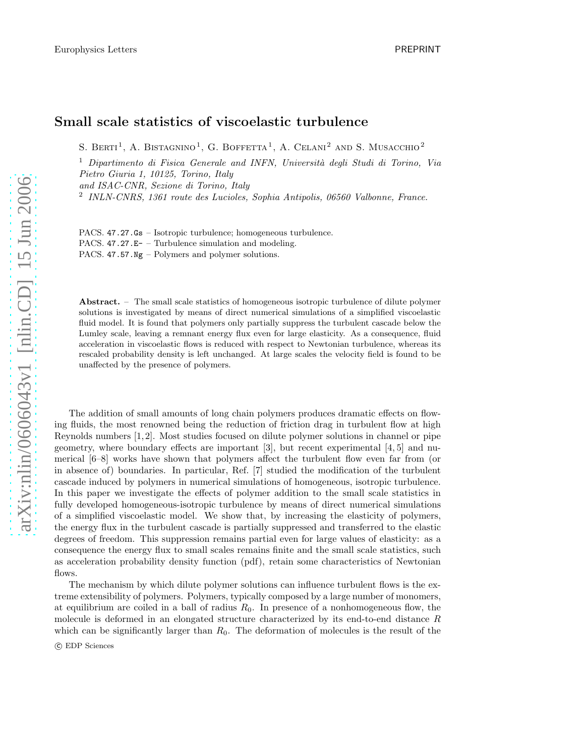## Small scale statistics of viscoelastic turbulence

S. BERTI<sup>1</sup>, A. BISTAGNINO<sup>1</sup>, G. BOFFETTA<sup>1</sup>, A. CELANI<sup>2</sup> AND S. MUSACCHIO<sup>2</sup>

 $1$  Dipartimento di Fisica Generale and INFN, Università degli Studi di Torino, Via Pietro Giuria 1, 10125, Torino, Italy

and ISAC-CNR, Sezione di Torino, Italy

2 INLN-CNRS, 1361 route des Lucioles, Sophia Antipolis, 06560 Valbonne, France.

PACS. 47.27.Gs – Isotropic turbulence; homogeneous turbulence. PACS. 47.27.E- – Turbulence simulation and modeling. PACS. 47.57. $Ng -$ Polymers and polymer solutions.

Abstract. – The small scale statistics of homogeneous isotropic turbulence of dilute polymer solutions is investigated by means of direct numerical simulations of a simplified viscoelastic fluid model. It is found that polymers only partially suppress the turbulent cascade below the Lumley scale, leaving a remnant energy flux even for large elasticity. As a consequence, fluid acceleration in viscoelastic flows is reduced with respect to Newtonian turbulence, whereas its rescaled probability density is left unchanged. At large scales the velocity field is found to be unaffected by the presence of polymers.

The addition of small amounts of long chain polymers produces dramatic effects on flowing fluids, the most renowned being the reduction of friction drag in turbulent flow at high Reynolds numbers [1, 2]. Most studies focused on dilute polymer solutions in channel or pipe geometry, where boundary effects are important [3], but recent experimental [4, 5] and numerical [6–8] works have shown that polymers affect the turbulent flow even far from (or in absence of) boundaries. In particular, Ref. [7] studied the modification of the turbulent cascade induced by polymers in numerical simulations of homogeneous, isotropic turbulence. In this paper we investigate the effects of polymer addition to the small scale statistics in fully developed homogeneous-isotropic turbulence by means of direct numerical simulations of a simplified viscoelastic model. We show that, by increasing the elasticity of polymers, the energy flux in the turbulent cascade is partially suppressed and transferred to the elastic degrees of freedom. This suppression remains partial even for large values of elasticity: as a consequence the energy flux to small scales remains finite and the small scale statistics, such as acceleration probability density function (pdf), retain some characteristics of Newtonian flows.

The mechanism by which dilute polymer solutions can influence turbulent flows is the extreme extensibility of polymers. Polymers, typically composed by a large number of monomers, at equilibrium are coiled in a ball of radius  $R_0$ . In presence of a nonhomogeneous flow, the molecule is deformed in an elongated structure characterized by its end-to-end distance R which can be significantly larger than  $R_0$ . The deformation of molecules is the result of the

c EDP Sciences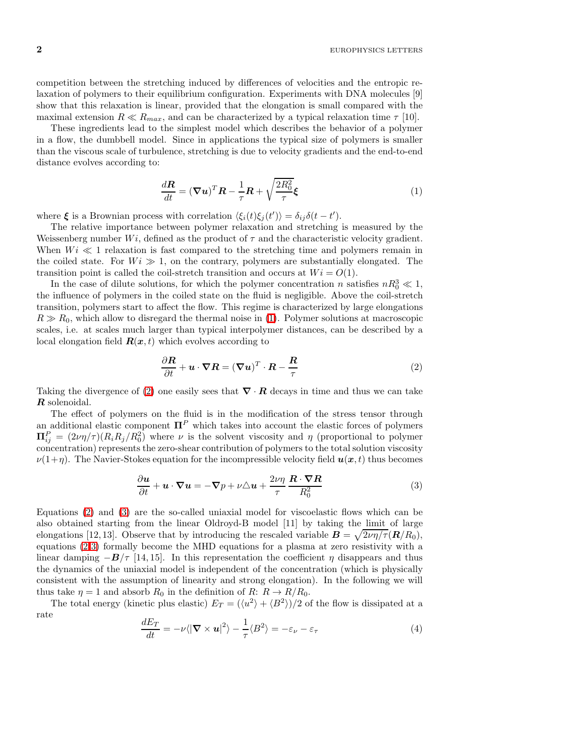$2$  EUROPHYSICS LETTERS

competition between the stretching induced by differences of velocities and the entropic relaxation of polymers to their equilibrium configuration. Experiments with DNA molecules [9] show that this relaxation is linear, provided that the elongation is small compared with the maximal extension  $R \ll R_{max}$ , and can be characterized by a typical relaxation time  $\tau$  [10].

These ingredients lead to the simplest model which describes the behavior of a polymer in a flow, the dumbbell model. Since in applications the typical size of polymers is smaller than the viscous scale of turbulence, stretching is due to velocity gradients and the end-to-end distance evolves according to:

$$
\frac{d\mathbf{R}}{dt} = (\nabla \mathbf{u})^T \mathbf{R} - \frac{1}{\tau} \mathbf{R} + \sqrt{\frac{2R_0^2}{\tau}} \boldsymbol{\xi}
$$
\n(1)

<span id="page-1-0"></span>where  $\xi$  is a Brownian process with correlation  $\langle \xi_i(t)\xi_j(t')\rangle = \delta_{ij}\delta(t-t')$ .

The relative importance between polymer relaxation and stretching is measured by the Weissenberg number  $Wi$ , defined as the product of  $\tau$  and the characteristic velocity gradient. When  $Wi \ll 1$  relaxation is fast compared to the stretching time and polymers remain in the coiled state. For  $Wi \gg 1$ , on the contrary, polymers are substantially elongated. The transition point is called the coil-stretch transition and occurs at  $Wi = O(1)$ .

In the case of dilute solutions, for which the polymer concentration n satisfies  $nR_0^3 \ll 1$ , the influence of polymers in the coiled state on the fluid is negligible. Above the coil-stretch transition, polymers start to affect the flow. This regime is characterized by large elongations  $R \gg R_0$ , which allow to disregard the thermal noise in [\(1\)](#page-1-0). Polymer solutions at macroscopic scales, i.e. at scales much larger than typical interpolymer distances, can be described by a local elongation field  $\mathbf{R}(\mathbf{x},t)$  which evolves according to

$$
\frac{\partial \mathbf{R}}{\partial t} + \mathbf{u} \cdot \nabla \mathbf{R} = (\nabla \mathbf{u})^T \cdot \mathbf{R} - \frac{\mathbf{R}}{\tau}
$$
 (2)

<span id="page-1-1"></span>Taking the divergence of [\(2\)](#page-1-1) one easily sees that  $\nabla \cdot \mathbf{R}$  decays in time and thus we can take R solenoidal.

The effect of polymers on the fluid is in the modification of the stress tensor through an additional elastic component  $\mathbf{\Pi}^P$  which takes into account the elastic forces of polymers  $\Pi_{ij}^P = (2\nu\eta/\tau)(R_iR_j/R_0^2)$  where  $\nu$  is the solvent viscosity and  $\eta$  (proportional to polymer concentration) represents the zero-shear contribution of polymers to the total solution viscosity  $\nu(1+\eta)$ . The Navier-Stokes equation for the incompressible velocity field  $u(x, t)$  thus becomes

$$
\frac{\partial \boldsymbol{u}}{\partial t} + \boldsymbol{u} \cdot \boldsymbol{\nabla} \boldsymbol{u} = -\boldsymbol{\nabla} p + \nu \triangle \boldsymbol{u} + \frac{2\nu\eta}{\tau} \frac{\boldsymbol{R} \cdot \boldsymbol{\nabla} \boldsymbol{R}}{R_0^2}
$$
(3)

<span id="page-1-2"></span>Equations [\(2\)](#page-1-1) and [\(3\)](#page-1-2) are the so-called uniaxial model for viscoelastic flows which can be also obtained starting from the linear Oldroyd-B model [11] by taking the limit of large elongations [12, 13]. Observe that by introducing the rescaled variable  $\mathbf{B} = \sqrt{2\nu\eta/\tau}(\mathbf{R}/R_0)$ , equations [\(2-](#page-1-1)[3\)](#page-1-2) formally become the MHD equations for a plasma at zero resistivity with a linear damping  $-B/\tau$  [14, 15]. In this representation the coefficient  $\eta$  disappears and thus the dynamics of the uniaxial model is independent of the concentration (which is physically consistent with the assumption of linearity and strong elongation). In the following we will thus take  $\eta = 1$  and absorb  $R_0$  in the definition of  $R: R \to R/R_0$ .

<span id="page-1-3"></span>The total energy (kinetic plus elastic)  $E_T = (\langle u^2 \rangle + \langle B^2 \rangle)/2$  of the flow is dissipated at a rate

$$
\frac{dE_T}{dt} = -\nu \langle |\nabla \times \boldsymbol{u}|^2 \rangle - \frac{1}{\tau} \langle B^2 \rangle = -\varepsilon_\nu - \varepsilon_\tau \tag{4}
$$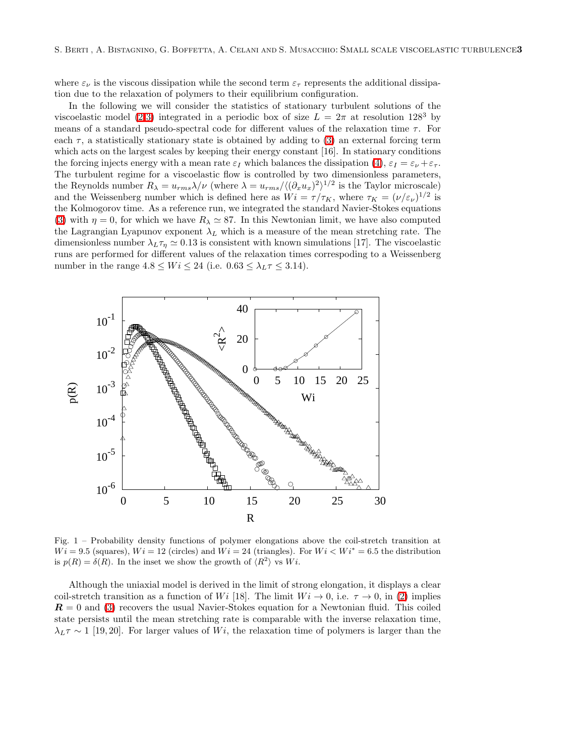where  $\varepsilon_{\nu}$  is the viscous dissipation while the second term  $\varepsilon_{\tau}$  represents the additional dissipation due to the relaxation of polymers to their equilibrium configuration.

In the following we will consider the statistics of stationary turbulent solutions of the viscoelastic model [\(2-](#page-1-1)[3\)](#page-1-2) integrated in a periodic box of size  $L = 2\pi$  at resolution 128<sup>3</sup> by means of a standard pseudo-spectral code for different values of the relaxation time  $\tau$ . For each  $\tau$ , a statistically stationary state is obtained by adding to [\(3\)](#page-1-2) an external forcing term which acts on the largest scales by keeping their energy constant [16]. In stationary conditions the forcing injects energy with a mean rate  $\varepsilon_I$  which balances the dissipation [\(4\)](#page-1-3),  $\varepsilon_I = \varepsilon_{\nu} + \varepsilon_{\tau}$ . The turbulent regime for a viscoelastic flow is controlled by two dimensionless parameters, the Reynolds number  $R_{\lambda} = u_{rms} \lambda / \nu$  (where  $\lambda = u_{rms}/\langle (\partial_x u_x)^2 \rangle^{1/2}$  is the Taylor microscale) and the Weissenberg number which is defined here as  $Wi = \tau/\tau_K$ , where  $\tau_K = (\nu/\varepsilon_\nu)^{1/2}$  is the Kolmogorov time. As a reference run, we integrated the standard Navier-Stokes equations [\(3\)](#page-1-2) with  $\eta = 0$ , for which we have  $R_{\lambda} \simeq 87$ . In this Newtonian limit, we have also computed the Lagrangian Lyapunov exponent  $\lambda_L$  which is a measure of the mean stretching rate. The dimensionless number  $\lambda_L \tau_n \simeq 0.13$  is consistent with known simulations [17]. The viscoelastic runs are performed for different values of the relaxation times correspoding to a Weissenberg number in the range  $4.8 \le Wi \le 24$  (i.e.  $0.63 \le \lambda_L \tau \le 3.14$ ).



<span id="page-2-0"></span>Fig. 1 – Probability density functions of polymer elongations above the coil-stretch transition at  $Wi = 9.5$  (squares),  $Wi = 12$  (circles) and  $Wi = 24$  (triangles). For  $Wi < Wi^* = 6.5$  the distribution is  $p(R) = \delta(R)$ . In the inset we show the growth of  $\langle R^2 \rangle$  vs  $Wi$ .

Although the uniaxial model is derived in the limit of strong elongation, it displays a clear coil-stretch transition as a function of Wi [18]. The limit  $Wi \rightarrow 0$ , i.e.  $\tau \rightarrow 0$ , in [\(2\)](#page-1-1) implies  $\mathbf{R} = 0$  and [\(3\)](#page-1-2) recovers the usual Navier-Stokes equation for a Newtonian fluid. This coiled state persists until the mean stretching rate is comparable with the inverse relaxation time,  $\lambda_L \tau \sim 1$  [19, 20]. For larger values of Wi, the relaxation time of polymers is larger than the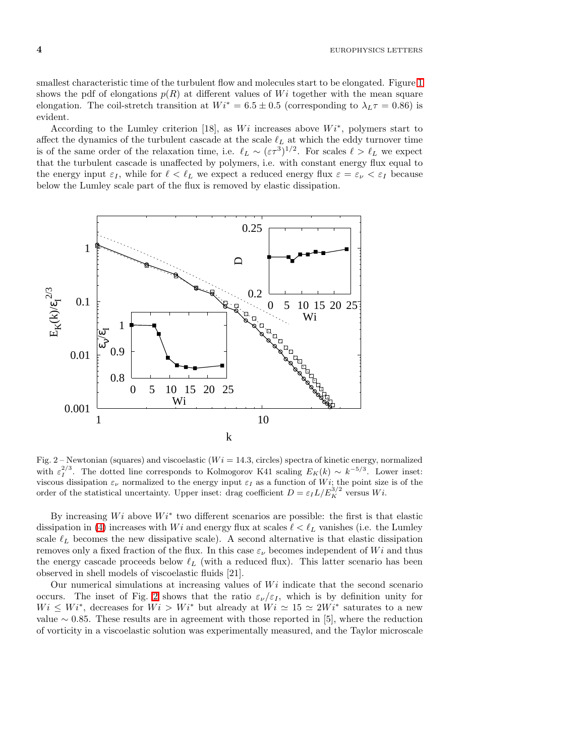smallest characteristic time of the turbulent flow and molecules start to be elongated. Figure [1](#page-2-0) shows the pdf of elongations  $p(R)$  at different values of Wi together with the mean square elongation. The coil-stretch transition at  $Wi^* = 6.5 \pm 0.5$  (corresponding to  $\lambda_L \tau = 0.86$ ) is evident.

According to the Lumley criterion [18], as  $Wi$  increases above  $Wi^*$ , polymers start to affect the dynamics of the turbulent cascade at the scale  $\ell_L$  at which the eddy turnover time is of the same order of the relaxation time, i.e.  $\ell_L \sim (\varepsilon \tau^3)^{1/2}$ . For scales  $\ell > \ell_L$  we expect that the turbulent cascade is unaffected by polymers, i.e. with constant energy flux equal to the energy input  $\varepsilon_I$ , while for  $\ell < \ell_L$  we expect a reduced energy flux  $\varepsilon = \varepsilon_{\nu} < \varepsilon_I$  because below the Lumley scale part of the flux is removed by elastic dissipation.



<span id="page-3-0"></span>Fig. 2 – Newtonian (squares) and viscoelastic  $(W = 14.3, \text{ circles})$  spectra of kinetic energy, normalized with  $\varepsilon_I^{2/3}$ . The dotted line corresponds to Kolmogorov K41 scaling  $E_K(k) \sim k^{-5/3}$ . Lower inset: viscous dissipation  $\varepsilon_{\nu}$  normalized to the energy input  $\varepsilon_{I}$  as a function of W*i*; the point size is of the order of the statistical uncertainty. Upper inset: drag coefficient  $D = \varepsilon_{I} L/E_{K}^{3/2}$  versus W*i*.

By increasing  $Wi$  above  $Wi^*$  two different scenarios are possible: the first is that elastic dissipation in [\(4\)](#page-1-3) increases with Wi and energy flux at scales  $\ell < \ell_L$  vanishes (i.e. the Lumley scale  $\ell_L$  becomes the new dissipative scale). A second alternative is that elastic dissipation removes only a fixed fraction of the flux. In this case  $\varepsilon_{\nu}$  becomes independent of Wi and thus the energy cascade proceeds below  $\ell_L$  (with a reduced flux). This latter scenario has been observed in shell models of viscoelastic fluids [21].

Our numerical simulations at increasing values of  $Wi$  indicate that the second scenario occurs. The inset of Fig. [2](#page-3-0) shows that the ratio  $\varepsilon_{\nu}/\varepsilon_{I}$ , which is by definition unity for  $Wi \leq Wi^*$ , decreases for  $Wi > Wi^*$  but already at  $Wi \simeq 15 \simeq 2Wi^*$  saturates to a new value ∼ 0.85. These results are in agreement with those reported in [5], where the reduction of vorticity in a viscoelastic solution was experimentally measured, and the Taylor microscale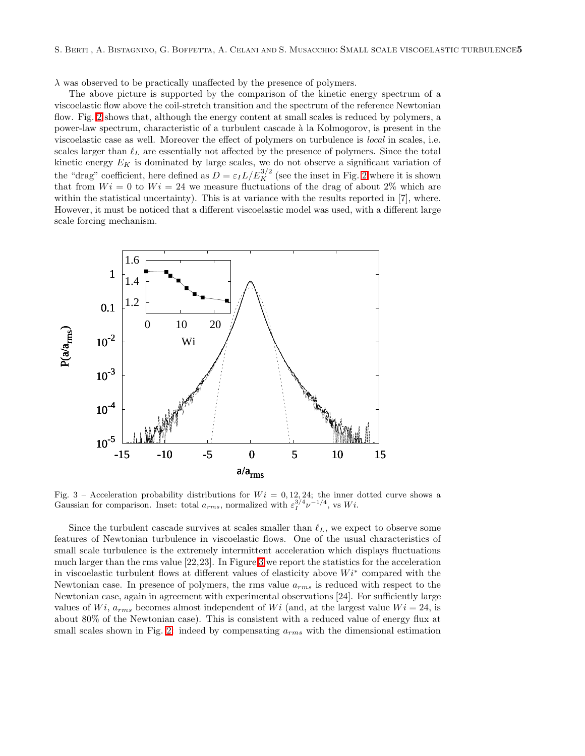$\lambda$  was observed to be practically unaffected by the presence of polymers.

The above picture is supported by the comparison of the kinetic energy spectrum of a viscoelastic flow above the coil-stretch transition and the spectrum of the reference Newtonian flow. Fig. [2](#page-3-0) shows that, although the energy content at small scales is reduced by polymers, a power-law spectrum, characteristic of a turbulent cascade `a la Kolmogorov, is present in the viscoelastic case as well. Moreover the effect of polymers on turbulence is local in scales, i.e. scales larger than  $\ell_L$  are essentially not affected by the presence of polymers. Since the total kinetic energy  $E_K$  is dominated by large scales, we do not observe a significant variation of the "drag" coefficient, here defined as  $D = \varepsilon_I L/E_K^{3/2}$  (see the inset in Fig. [2](#page-3-0) where it is shown that from  $Wi = 0$  to  $Wi = 24$  we measure fluctuations of the drag of about  $2\%$  which are within the statistical uncertainty). This is at variance with the results reported in [7], where. However, it must be noticed that a different viscoelastic model was used, with a different large scale forcing mechanism.



<span id="page-4-0"></span>Fig. 3 – Acceleration probability distributions for  $Wi = 0, 12, 24$ ; the inner dotted curve shows a Gaussian for comparison. Inset: total  $a_{rms}$ , normalized with  $\varepsilon_1^{3/4} \nu^{-1/4}$ , vs  $Wi$ .

Since the turbulent cascade survives at scales smaller than  $\ell_L$ , we expect to observe some features of Newtonian turbulence in viscoelastic flows. One of the usual characteristics of small scale turbulence is the extremely intermittent acceleration which displays fluctuations much larger than the rms value [22,23]. In Figure [3](#page-4-0) we report the statistics for the acceleration in viscoelastic turbulent flows at different values of elasticity above  $Wi^*$  compared with the Newtonian case. In presence of polymers, the rms value  $a_{rms}$  is reduced with respect to the Newtonian case, again in agreement with experimental observations [24]. For sufficiently large values of  $Wi, a_{rms}$  becomes almost independent of  $Wi$  (and, at the largest value  $Wi = 24$ , is about 80% of the Newtonian case). This is consistent with a reduced value of energy flux at small scales shown in Fig. [2:](#page-3-0) indeed by compensating  $a_{rms}$  with the dimensional estimation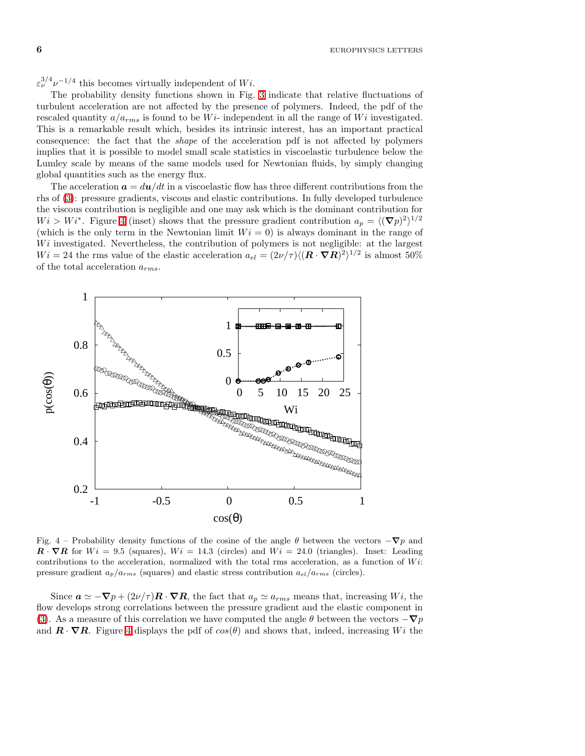$\varepsilon_{\nu}^{3/4} \nu^{-1/4}$  this becomes virtually independent of  $Wi$ .

The probability density functions shown in Fig. [3](#page-4-0) indicate that relative fluctuations of turbulent acceleration are not affected by the presence of polymers. Indeed, the pdf of the rescaled quantity  $a/a_{rms}$  is found to be W<sub>i</sub>- independent in all the range of W<sub>i</sub> investigated. This is a remarkable result which, besides its intrinsic interest, has an important practical consequence: the fact that the shape of the acceleration pdf is not affected by polymers implies that it is possible to model small scale statistics in viscoelastic turbulence below the Lumley scale by means of the same models used for Newtonian fluids, by simply changing global quantities such as the energy flux.

The acceleration  $a = du/dt$  in a viscoelastic flow has three different contributions from the rhs of [\(3\)](#page-1-2): pressure gradients, viscous and elastic contributions. In fully developed turbulence the viscous contribution is negligible and one may ask which is the dominant contribution for  $Wi > Wi^*$ . Figure [4](#page-5-0) (inset) shows that the pressure gradient contribution  $a_p = \langle (\nabla p)^2 \rangle^{1/2}$ (which is the only term in the Newtonian limit  $Wi = 0$ ) is always dominant in the range of  $Wi$  investigated. Nevertheless, the contribution of polymers is not negligible: at the largest  $Wi = 24$  the rms value of the elastic acceleration  $a_{el} = (2\nu/\tau)\langle (\mathbf{R} \cdot \nabla \mathbf{R})^2 \rangle^{1/2}$  is almost 50% of the total acceleration  $a_{rms}$ .



<span id="page-5-0"></span>Fig. 4 – Probability density functions of the cosine of the angle  $\theta$  between the vectors  $-\nabla p$  and  $\mathbf{R} \cdot \nabla \mathbf{R}$  for  $Wi = 9.5$  (squares),  $Wi = 14.3$  (circles) and  $Wi = 24.0$  (triangles). Inset: Leading contributions to the acceleration, normalized with the total rms acceleration, as a function of  $Wi$ : pressure gradient  $a_p/a_{rms}$  (squares) and elastic stress contribution  $a_{el}/a_{rms}$  (circles).

Since  $\mathbf{a} \simeq -\nabla p + (2\nu/\tau)\mathbf{R} \cdot \nabla \mathbf{R}$ , the fact that  $a_p \simeq a_{rms}$  means that, increasing Wi, the flow develops strong correlations between the pressure gradient and the elastic component in [\(3\)](#page-1-2). As a measure of this correlation we have computed the angle  $\theta$  between the vectors  $-\nabla p$ and  $\mathbf{R} \cdot \nabla \mathbf{R}$ . Figure [4](#page-5-0) displays the pdf of  $cos(\theta)$  and shows that, indeed, increasing Wi the